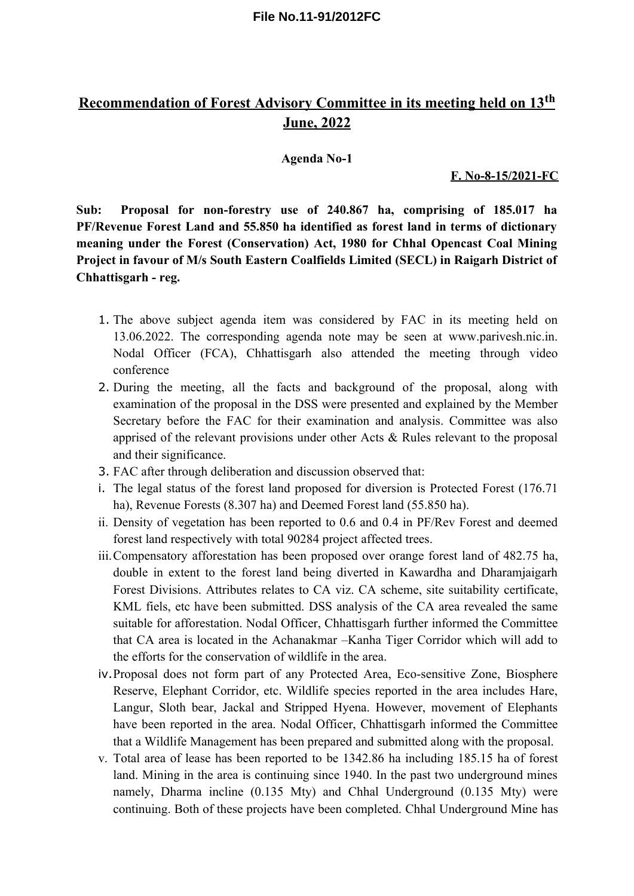# **Recommendation of Forest Advisory Committee in its meeting held on 13th June, 2022**

### **Agenda No-1**

**F. No-8-15/2021-FC**

**Sub: Proposal for non-forestry use of 240.867 ha, comprising of 185.017 ha PF/Revenue Forest Land and 55.850 ha identified as forest land in terms of dictionary meaning under the Forest (Conservation) Act, 1980 for Chhal Opencast Coal Mining Project in favour of M/s South Eastern Coalfields Limited (SECL) in Raigarh District of Chhattisgarh - reg.** 

- 1. The above subject agenda item was considered by FAC in its meeting held on 13.06.2022. The corresponding agenda note may be seen at www.parivesh.nic.in. Nodal Officer (FCA), Chhattisgarh also attended the meeting through video conference
- 2. During the meeting, all the facts and background of the proposal, along with examination of the proposal in the DSS were presented and explained by the Member Secretary before the FAC for their examination and analysis. Committee was also apprised of the relevant provisions under other Acts & Rules relevant to the proposal and their significance.
- 3. FAC after through deliberation and discussion observed that:
- i. The legal status of the forest land proposed for diversion is Protected Forest (176.71 ha), Revenue Forests (8.307 ha) and Deemed Forest land (55.850 ha).
- ii. Density of vegetation has been reported to 0.6 and 0.4 in PF/Rev Forest and deemed forest land respectively with total 90284 project affected trees.
- iii.Compensatory afforestation has been proposed over orange forest land of 482.75 ha, double in extent to the forest land being diverted in Kawardha and Dharamjaigarh Forest Divisions. Attributes relates to CA viz. CA scheme, site suitability certificate, KML fiels, etc have been submitted. DSS analysis of the CA area revealed the same suitable for afforestation. Nodal Officer, Chhattisgarh further informed the Committee that CA area is located in the Achanakmar –Kanha Tiger Corridor which will add to the efforts for the conservation of wildlife in the area.
- iv.Proposal does not form part of any Protected Area, Eco-sensitive Zone, Biosphere Reserve, Elephant Corridor, etc. Wildlife species reported in the area includes Hare, Langur, Sloth bear, Jackal and Stripped Hyena. However, movement of Elephants have been reported in the area. Nodal Officer, Chhattisgarh informed the Committee that a Wildlife Management has been prepared and submitted along with the proposal.
- v. Total area of lease has been reported to be 1342.86 ha including 185.15 ha of forest land. Mining in the area is continuing since 1940. In the past two underground mines namely, Dharma incline (0.135 Mty) and Chhal Underground (0.135 Mty) were continuing. Both of these projects have been completed. Chhal Underground Mine has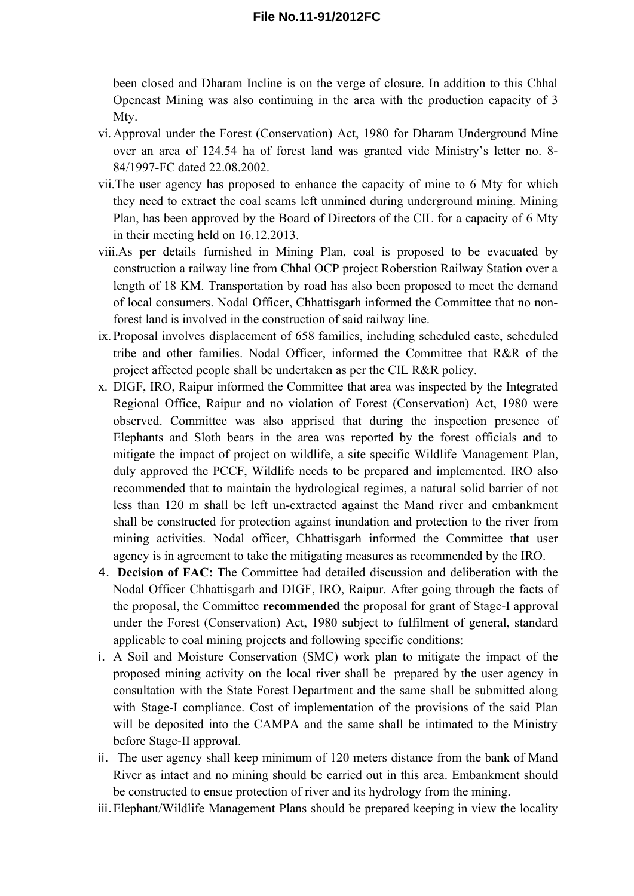been closed and Dharam Incline is on the verge of closure. In addition to this Chhal Opencast Mining was also continuing in the area with the production capacity of 3 Mty.

- vi. Approval under the Forest (Conservation) Act, 1980 for Dharam Underground Mine over an area of 124.54 ha of forest land was granted vide Ministry's letter no. 8- 84/1997-FC dated 22.08.2002.
- vii.The user agency has proposed to enhance the capacity of mine to 6 Mty for which they need to extract the coal seams left unmined during underground mining. Mining Plan, has been approved by the Board of Directors of the CIL for a capacity of 6 Mty in their meeting held on 16.12.2013.
- viii.As per details furnished in Mining Plan, coal is proposed to be evacuated by construction a railway line from Chhal OCP project Roberstion Railway Station over a length of 18 KM. Transportation by road has also been proposed to meet the demand of local consumers. Nodal Officer, Chhattisgarh informed the Committee that no nonforest land is involved in the construction of said railway line.
- ix. Proposal involves displacement of 658 families, including scheduled caste, scheduled tribe and other families. Nodal Officer, informed the Committee that R&R of the project affected people shall be undertaken as per the CIL R&R policy.
- x. DIGF, IRO, Raipur informed the Committee that area was inspected by the Integrated Regional Office, Raipur and no violation of Forest (Conservation) Act, 1980 were observed. Committee was also apprised that during the inspection presence of Elephants and Sloth bears in the area was reported by the forest officials and to mitigate the impact of project on wildlife, a site specific Wildlife Management Plan, duly approved the PCCF, Wildlife needs to be prepared and implemented. IRO also recommended that to maintain the hydrological regimes, a natural solid barrier of not less than 120 m shall be left un-extracted against the Mand river and embankment shall be constructed for protection against inundation and protection to the river from mining activities. Nodal officer, Chhattisgarh informed the Committee that user agency is in agreement to take the mitigating measures as recommended by the IRO.
- 4. **Decision of FAC:** The Committee had detailed discussion and deliberation with the Nodal Officer Chhattisgarh and DIGF, IRO, Raipur. After going through the facts of the proposal, the Committee **recommended** the proposal for grant of Stage-I approval under the Forest (Conservation) Act, 1980 subject to fulfilment of general, standard applicable to coal mining projects and following specific conditions:
- i. A Soil and Moisture Conservation (SMC) work plan to mitigate the impact of the proposed mining activity on the local river shall be prepared by the user agency in consultation with the State Forest Department and the same shall be submitted along with Stage-I compliance. Cost of implementation of the provisions of the said Plan will be deposited into the CAMPA and the same shall be intimated to the Ministry before Stage-II approval.
- ii. The user agency shall keep minimum of 120 meters distance from the bank of Mand River as intact and no mining should be carried out in this area. Embankment should be constructed to ensue protection of river and its hydrology from the mining.
- iii.Elephant/Wildlife Management Plans should be prepared keeping in view the locality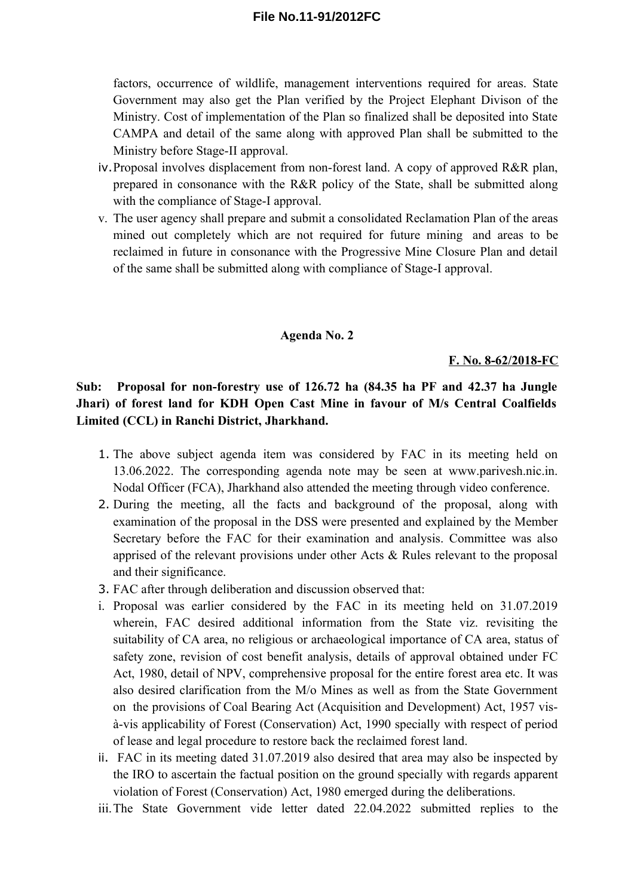factors, occurrence of wildlife, management interventions required for areas. State Government may also get the Plan verified by the Project Elephant Divison of the Ministry. Cost of implementation of the Plan so finalized shall be deposited into State CAMPA and detail of the same along with approved Plan shall be submitted to the Ministry before Stage-II approval.

- iv.Proposal involves displacement from non-forest land. A copy of approved R&R plan, prepared in consonance with the R&R policy of the State, shall be submitted along with the compliance of Stage-I approval.
- v. The user agency shall prepare and submit a consolidated Reclamation Plan of the areas mined out completely which are not required for future mining and areas to be reclaimed in future in consonance with the Progressive Mine Closure Plan and detail of the same shall be submitted along with compliance of Stage-I approval.

#### **Agenda No. 2**

#### **F. No. 8-62/2018-FC**

**Sub: Proposal for non-forestry use of 126.72 ha (84.35 ha PF and 42.37 ha Jungle Jhari) of forest land for KDH Open Cast Mine in favour of M/s Central Coalfields Limited (CCL) in Ranchi District, Jharkhand.**

- 1. The above subject agenda item was considered by FAC in its meeting held on 13.06.2022. The corresponding agenda note may be seen at www.parivesh.nic.in. Nodal Officer (FCA), Jharkhand also attended the meeting through video conference.
- 2. During the meeting, all the facts and background of the proposal, along with examination of the proposal in the DSS were presented and explained by the Member Secretary before the FAC for their examination and analysis. Committee was also apprised of the relevant provisions under other Acts & Rules relevant to the proposal and their significance.
- 3. FAC after through deliberation and discussion observed that:
- i. Proposal was earlier considered by the FAC in its meeting held on 31.07.2019 wherein, FAC desired additional information from the State viz. revisiting the suitability of CA area, no religious or archaeological importance of CA area, status of safety zone, revision of cost benefit analysis, details of approval obtained under FC Act, 1980, detail of NPV, comprehensive proposal for the entire forest area etc. It was also desired clarification from the M/o Mines as well as from the State Government on the provisions of Coal Bearing Act (Acquisition and Development) Act, 1957 visà-vis applicability of Forest (Conservation) Act, 1990 specially with respect of period of lease and legal procedure to restore back the reclaimed forest land.
- ii. FAC in its meeting dated 31.07.2019 also desired that area may also be inspected by the IRO to ascertain the factual position on the ground specially with regards apparent violation of Forest (Conservation) Act, 1980 emerged during the deliberations.
- iii.The State Government vide letter dated 22.04.2022 submitted replies to the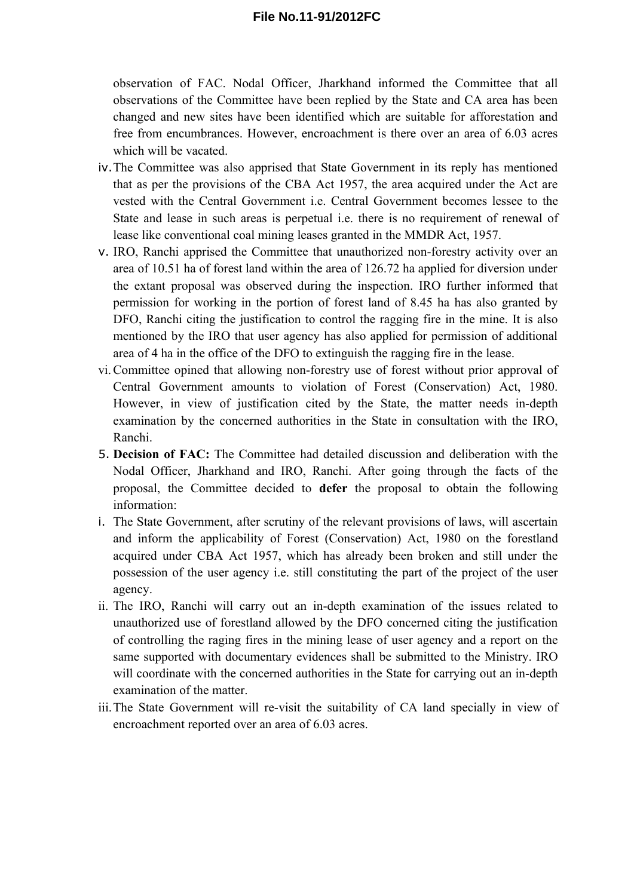observation of FAC. Nodal Officer, Jharkhand informed the Committee that all observations of the Committee have been replied by the State and CA area has been changed and new sites have been identified which are suitable for afforestation and free from encumbrances. However, encroachment is there over an area of 6.03 acres which will be vacated.

- iv.The Committee was also apprised that State Government in its reply has mentioned that as per the provisions of the CBA Act 1957, the area acquired under the Act are vested with the Central Government i.e. Central Government becomes lessee to the State and lease in such areas is perpetual i.e. there is no requirement of renewal of lease like conventional coal mining leases granted in the MMDR Act, 1957.
- v. IRO, Ranchi apprised the Committee that unauthorized non-forestry activity over an area of 10.51 ha of forest land within the area of 126.72 ha applied for diversion under the extant proposal was observed during the inspection. IRO further informed that permission for working in the portion of forest land of 8.45 ha has also granted by DFO, Ranchi citing the justification to control the ragging fire in the mine. It is also mentioned by the IRO that user agency has also applied for permission of additional area of 4 ha in the office of the DFO to extinguish the ragging fire in the lease.
- vi.Committee opined that allowing non-forestry use of forest without prior approval of Central Government amounts to violation of Forest (Conservation) Act, 1980. However, in view of justification cited by the State, the matter needs in-depth examination by the concerned authorities in the State in consultation with the IRO, Ranchi.
- 5. **Decision of FAC:** The Committee had detailed discussion and deliberation with the Nodal Officer, Jharkhand and IRO, Ranchi. After going through the facts of the proposal, the Committee decided to **defer** the proposal to obtain the following information:
- i. The State Government, after scrutiny of the relevant provisions of laws, will ascertain and inform the applicability of Forest (Conservation) Act, 1980 on the forestland acquired under CBA Act 1957, which has already been broken and still under the possession of the user agency i.e. still constituting the part of the project of the user agency.
- ii. The IRO, Ranchi will carry out an in-depth examination of the issues related to unauthorized use of forestland allowed by the DFO concerned citing the justification of controlling the raging fires in the mining lease of user agency and a report on the same supported with documentary evidences shall be submitted to the Ministry. IRO will coordinate with the concerned authorities in the State for carrying out an in-depth examination of the matter.
- iii.The State Government will re-visit the suitability of CA land specially in view of encroachment reported over an area of 6.03 acres.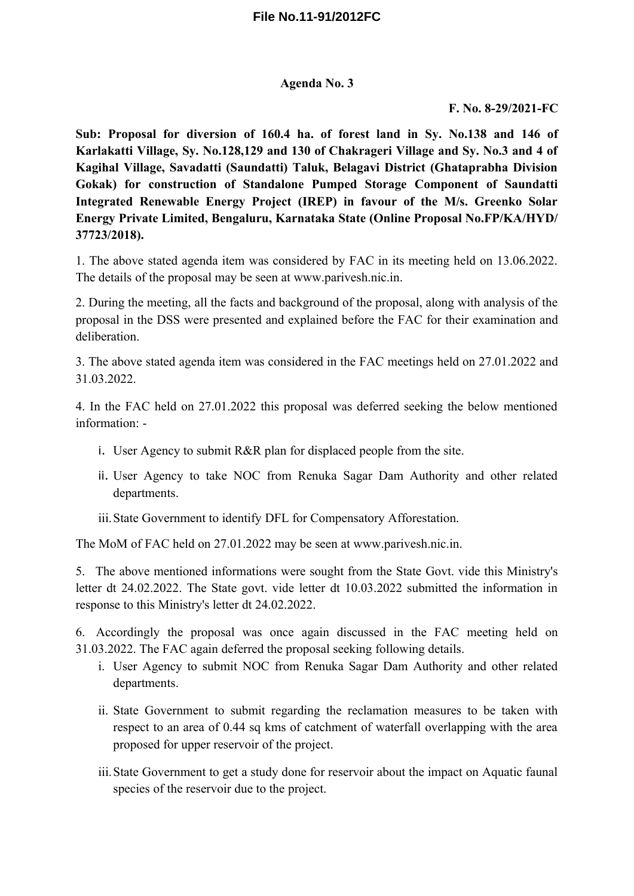### **Agenda No. 3**

### **F. No. 8-29/2021-FC**

**Sub: Proposal for diversion of 160.4 ha. of forest land in Sy. No.138 and 146 of Karlakatti Village, Sy. No.128,129 and 130 of Chakrageri Village and Sy. No.3 and 4 of Kagihal Village, Savadatti (Saundatti) Taluk, Belagavi District (Ghataprabha Division Gokak) for construction of Standalone Pumped Storage Component of Saundatti Integrated Renewable Energy Project (IREP) in favour of the M/s. Greenko Solar Energy Private Limited, Bengaluru, Karnataka State (Online Proposal No.FP/KA/HYD/ 37723/2018).**

1. The above stated agenda item was considered by FAC in its meeting held on 13.06.2022. The details of the proposal may be seen at www.parivesh.nic.in.

2. During the meeting, all the facts and background of the proposal, along with analysis of the proposal in the DSS were presented and explained before the FAC for their examination and deliberation.

3. The above stated agenda item was considered in the FAC meetings held on 27.01.2022 and 31.03.2022.

4. In the FAC held on 27.01.2022 this proposal was deferred seeking the below mentioned information: -

- i. User Agency to submit R&R plan for displaced people from the site.
- ii. User Agency to take NOC from Renuka Sagar Dam Authority and other related departments.
- iii.State Government to identify DFL for Compensatory Afforestation.

The MoM of FAC held on 27.01.2022 may be seen at www.parivesh.nic.in.

5. The above mentioned informations were sought from the State Govt. vide this Ministry's letter dt 24.02.2022. The State govt. vide letter dt 10.03.2022 submitted the information in response to this Ministry's letter dt 24.02.2022.

6. Accordingly the proposal was once again discussed in the FAC meeting held on 31.03.2022. The FAC again deferred the proposal seeking following details.

- i. User Agency to submit NOC from Renuka Sagar Dam Authority and other related departments.
- ii. State Government to submit regarding the reclamation measures to be taken with respect to an area of 0.44 sq kms of catchment of waterfall overlapping with the area proposed for upper reservoir of the project.
- iii.State Government to get a study done for reservoir about the impact on Aquatic faunal species of the reservoir due to the project.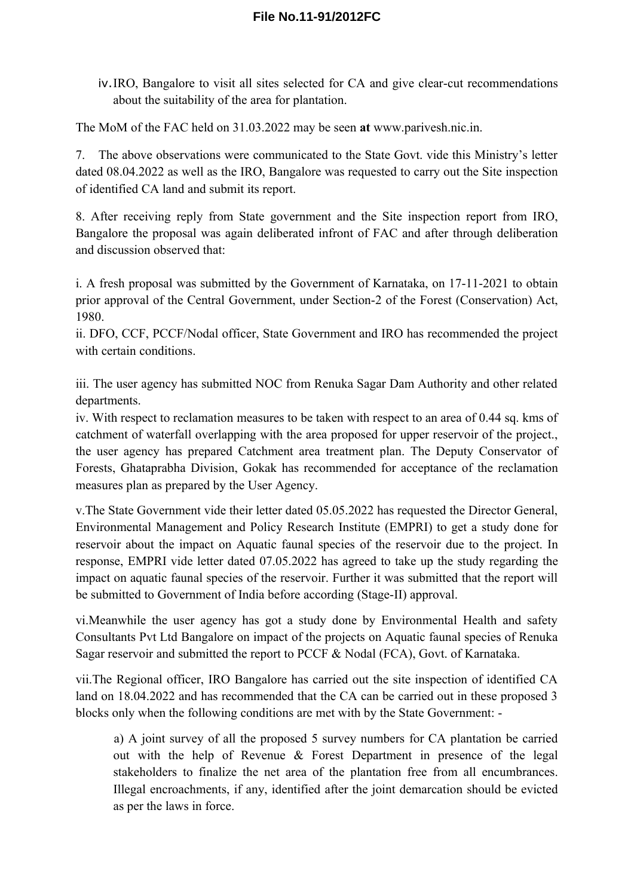iv.IRO, Bangalore to visit all sites selected for CA and give clear-cut recommendations about the suitability of the area for plantation.

The MoM of the FAC held on 31.03.2022 may be seen **at** www.parivesh.nic.in.

7. The above observations were communicated to the State Govt. vide this Ministry's letter dated 08.04.2022 as well as the IRO, Bangalore was requested to carry out the Site inspection of identified CA land and submit its report.

8. After receiving reply from State government and the Site inspection report from IRO, Bangalore the proposal was again deliberated infront of FAC and after through deliberation and discussion observed that:

i. A fresh proposal was submitted by the Government of Karnataka, on 17-11-2021 to obtain prior approval of the Central Government, under Section-2 of the Forest (Conservation) Act, 1980.

ii. DFO, CCF, PCCF/Nodal officer, State Government and IRO has recommended the project with certain conditions.

iii. The user agency has submitted NOC from Renuka Sagar Dam Authority and other related departments.

iv. With respect to reclamation measures to be taken with respect to an area of 0.44 sq. kms of catchment of waterfall overlapping with the area proposed for upper reservoir of the project., the user agency has prepared Catchment area treatment plan. The Deputy Conservator of Forests, Ghataprabha Division, Gokak has recommended for acceptance of the reclamation measures plan as prepared by the User Agency.

v.The State Government vide their letter dated 05.05.2022 has requested the Director General, Environmental Management and Policy Research Institute (EMPRI) to get a study done for reservoir about the impact on Aquatic faunal species of the reservoir due to the project. In response, EMPRI vide letter dated 07.05.2022 has agreed to take up the study regarding the impact on aquatic faunal species of the reservoir. Further it was submitted that the report will be submitted to Government of India before according (Stage-II) approval.

vi.Meanwhile the user agency has got a study done by Environmental Health and safety Consultants Pvt Ltd Bangalore on impact of the projects on Aquatic faunal species of Renuka Sagar reservoir and submitted the report to PCCF & Nodal (FCA), Govt. of Karnataka.

vii.The Regional officer, IRO Bangalore has carried out the site inspection of identified CA land on 18.04.2022 and has recommended that the CA can be carried out in these proposed 3 blocks only when the following conditions are met with by the State Government: -

a) A joint survey of all the proposed 5 survey numbers for CA plantation be carried out with the help of Revenue & Forest Department in presence of the legal stakeholders to finalize the net area of the plantation free from all encumbrances. Illegal encroachments, if any, identified after the joint demarcation should be evicted as per the laws in force.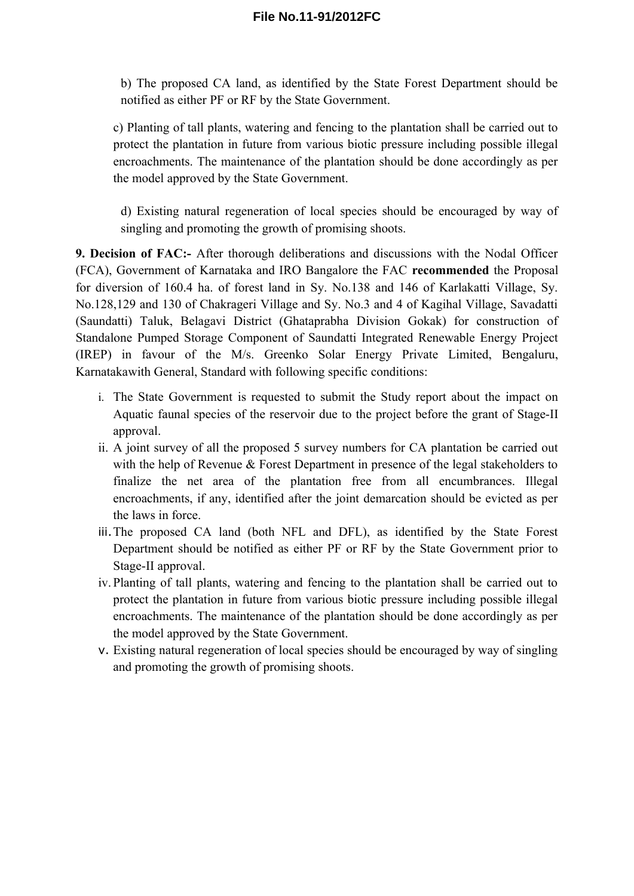b) The proposed CA land, as identified by the State Forest Department should be notified as either PF or RF by the State Government.

c) Planting of tall plants, watering and fencing to the plantation shall be carried out to protect the plantation in future from various biotic pressure including possible illegal encroachments. The maintenance of the plantation should be done accordingly as per the model approved by the State Government.

d) Existing natural regeneration of local species should be encouraged by way of singling and promoting the growth of promising shoots.

**9. Decision of FAC:-** After thorough deliberations and discussions with the Nodal Officer (FCA), Government of Karnataka and IRO Bangalore the FAC **recommended** the Proposal for diversion of 160.4 ha. of forest land in Sy. No.138 and 146 of Karlakatti Village, Sy. No.128,129 and 130 of Chakrageri Village and Sy. No.3 and 4 of Kagihal Village, Savadatti (Saundatti) Taluk, Belagavi District (Ghataprabha Division Gokak) for construction of Standalone Pumped Storage Component of Saundatti Integrated Renewable Energy Project (IREP) in favour of the M/s. Greenko Solar Energy Private Limited, Bengaluru, Karnatakawith General, Standard with following specific conditions:

- i. The State Government is requested to submit the Study report about the impact on Aquatic faunal species of the reservoir due to the project before the grant of Stage-II approval.
- ii. A joint survey of all the proposed 5 survey numbers for CA plantation be carried out with the help of Revenue & Forest Department in presence of the legal stakeholders to finalize the net area of the plantation free from all encumbrances. Illegal encroachments, if any, identified after the joint demarcation should be evicted as per the laws in force.
- iii.The proposed CA land (both NFL and DFL), as identified by the State Forest Department should be notified as either PF or RF by the State Government prior to Stage-II approval.
- iv. Planting of tall plants, watering and fencing to the plantation shall be carried out to protect the plantation in future from various biotic pressure including possible illegal encroachments. The maintenance of the plantation should be done accordingly as per the model approved by the State Government.
- v. Existing natural regeneration of local species should be encouraged by way of singling and promoting the growth of promising shoots.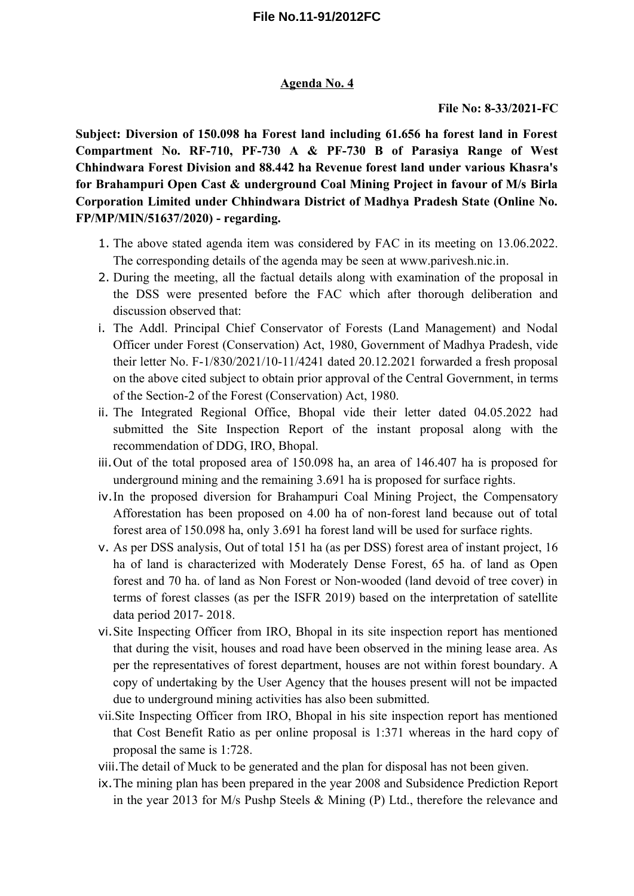### **Agenda No. 4**

### **File No: 8-33/2021-FC**

**Subject: Diversion of 150.098 ha Forest land including 61.656 ha forest land in Forest Compartment No. RF-710, PF-730 A & PF-730 B of Parasiya Range of West Chhindwara Forest Division and 88.442 ha Revenue forest land under various Khasra's for Brahampuri Open Cast & underground Coal Mining Project in favour of M/s Birla Corporation Limited under Chhindwara District of Madhya Pradesh State (Online No. FP/MP/MIN/51637/2020) - regarding.**

- 1. The above stated agenda item was considered by FAC in its meeting on 13.06.2022. The corresponding details of the agenda may be seen at www.parivesh.nic.in.
- 2. During the meeting, all the factual details along with examination of the proposal in the DSS were presented before the FAC which after thorough deliberation and discussion observed that:
- i. The Addl. Principal Chief Conservator of Forests (Land Management) and Nodal Officer under Forest (Conservation) Act, 1980, Government of Madhya Pradesh, vide their letter No. F-1/830/2021/10-11/4241 dated 20.12.2021 forwarded a fresh proposal on the above cited subject to obtain prior approval of the Central Government, in terms of the Section-2 of the Forest (Conservation) Act, 1980.
- ii. The Integrated Regional Office, Bhopal vide their letter dated 04.05.2022 had submitted the Site Inspection Report of the instant proposal along with the recommendation of DDG, IRO, Bhopal.
- iii.Out of the total proposed area of 150.098 ha, an area of 146.407 ha is proposed for underground mining and the remaining 3.691 ha is proposed for surface rights.
- iv.In the proposed diversion for Brahampuri Coal Mining Project, the Compensatory Afforestation has been proposed on 4.00 ha of non-forest land because out of total forest area of 150.098 ha, only 3.691 ha forest land will be used for surface rights.
- v. As per DSS analysis, Out of total 151 ha (as per DSS) forest area of instant project, 16 ha of land is characterized with Moderately Dense Forest, 65 ha. of land as Open forest and 70 ha. of land as Non Forest or Non-wooded (land devoid of tree cover) in terms of forest classes (as per the ISFR 2019) based on the interpretation of satellite data period 2017- 2018.
- vi.Site Inspecting Officer from IRO, Bhopal in its site inspection report has mentioned that during the visit, houses and road have been observed in the mining lease area. As per the representatives of forest department, houses are not within forest boundary. A copy of undertaking by the User Agency that the houses present will not be impacted due to underground mining activities has also been submitted.
- vii.Site Inspecting Officer from IRO, Bhopal in his site inspection report has mentioned that Cost Benefit Ratio as per online proposal is 1:371 whereas in the hard copy of proposal the same is 1:728.
- viii.The detail of Muck to be generated and the plan for disposal has not been given.
- ix.The mining plan has been prepared in the year 2008 and Subsidence Prediction Report in the year 2013 for M/s Pushp Steels & Mining (P) Ltd., therefore the relevance and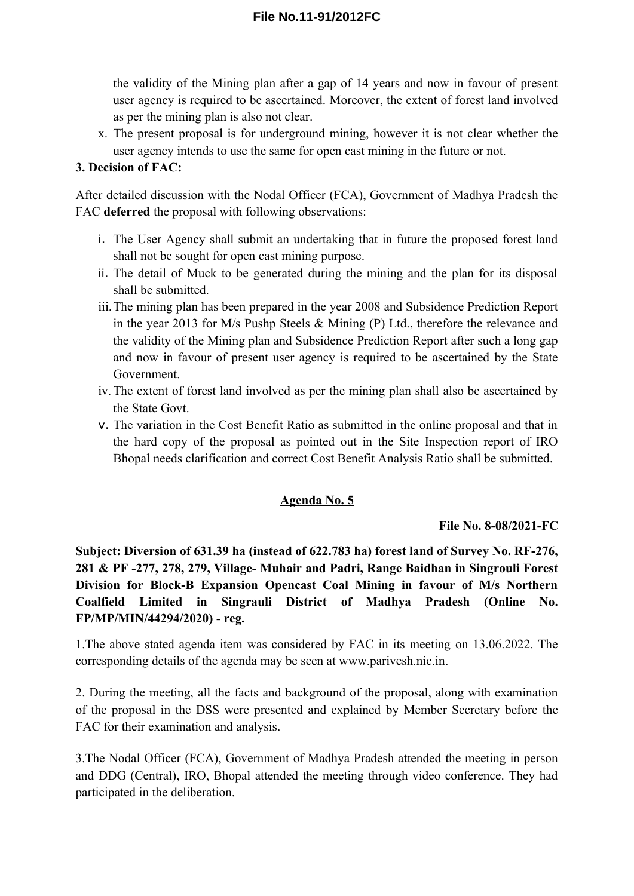the validity of the Mining plan after a gap of 14 years and now in favour of present user agency is required to be ascertained. Moreover, the extent of forest land involved as per the mining plan is also not clear.

x. The present proposal is for underground mining, however it is not clear whether the user agency intends to use the same for open cast mining in the future or not.

## **3. Decision of FAC:**

After detailed discussion with the Nodal Officer (FCA), Government of Madhya Pradesh the FAC **deferred** the proposal with following observations:

- i. The User Agency shall submit an undertaking that in future the proposed forest land shall not be sought for open cast mining purpose.
- ii. The detail of Muck to be generated during the mining and the plan for its disposal shall be submitted.
- iii.The mining plan has been prepared in the year 2008 and Subsidence Prediction Report in the year 2013 for M/s Pushp Steels & Mining (P) Ltd., therefore the relevance and the validity of the Mining plan and Subsidence Prediction Report after such a long gap and now in favour of present user agency is required to be ascertained by the State Government.
- iv.The extent of forest land involved as per the mining plan shall also be ascertained by the State Govt.
- v. The variation in the Cost Benefit Ratio as submitted in the online proposal and that in the hard copy of the proposal as pointed out in the Site Inspection report of IRO Bhopal needs clarification and correct Cost Benefit Analysis Ratio shall be submitted.

## **Agenda No. 5**

## **File No. 8-08/2021-FC**

**Subject: Diversion of 631.39 ha (instead of 622.783 ha) forest land of Survey No. RF-276, 281 & PF -277, 278, 279, Village- Muhair and Padri, Range Baidhan in Singrouli Forest Division for Block-B Expansion Opencast Coal Mining in favour of M/s Northern Coalfield Limited in Singrauli District of Madhya Pradesh (Online No. FP/MP/MIN/44294/2020) - reg.**

1.The above stated agenda item was considered by FAC in its meeting on 13.06.2022. The corresponding details of the agenda may be seen at www.parivesh.nic.in.

2. During the meeting, all the facts and background of the proposal, along with examination of the proposal in the DSS were presented and explained by Member Secretary before the FAC for their examination and analysis.

3.The Nodal Officer (FCA), Government of Madhya Pradesh attended the meeting in person and DDG (Central), IRO, Bhopal attended the meeting through video conference. They had participated in the deliberation.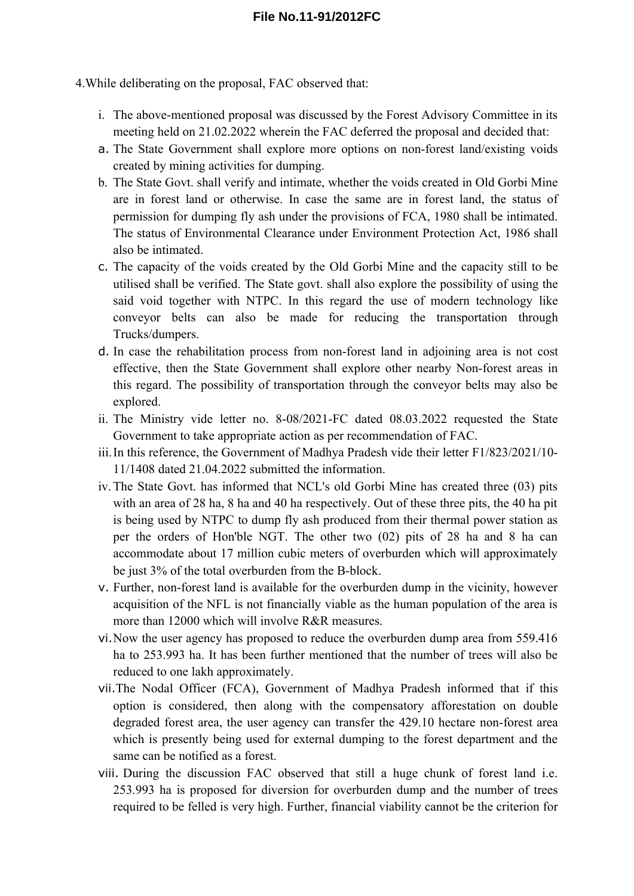4.While deliberating on the proposal, FAC observed that:

- i. The above-mentioned proposal was discussed by the Forest Advisory Committee in its meeting held on 21.02.2022 wherein the FAC deferred the proposal and decided that:
- a. The State Government shall explore more options on non-forest land/existing voids created by mining activities for dumping.
- b. The State Govt. shall verify and intimate, whether the voids created in Old Gorbi Mine are in forest land or otherwise. In case the same are in forest land, the status of permission for dumping fly ash under the provisions of FCA, 1980 shall be intimated. The status of Environmental Clearance under Environment Protection Act, 1986 shall also be intimated.
- c. The capacity of the voids created by the Old Gorbi Mine and the capacity still to be utilised shall be verified. The State govt. shall also explore the possibility of using the said void together with NTPC. In this regard the use of modern technology like conveyor belts can also be made for reducing the transportation through Trucks/dumpers.
- d. In case the rehabilitation process from non-forest land in adjoining area is not cost effective, then the State Government shall explore other nearby Non-forest areas in this regard. The possibility of transportation through the conveyor belts may also be explored.
- ii. The Ministry vide letter no. 8-08/2021-FC dated 08.03.2022 requested the State Government to take appropriate action as per recommendation of FAC.
- iii.In this reference, the Government of Madhya Pradesh vide their letter F1/823/2021/10- 11/1408 dated 21.04.2022 submitted the information.
- iv.The State Govt. has informed that NCL's old Gorbi Mine has created three (03) pits with an area of 28 ha, 8 ha and 40 ha respectively. Out of these three pits, the 40 ha pit is being used by NTPC to dump fly ash produced from their thermal power station as per the orders of Hon'ble NGT. The other two (02) pits of 28 ha and 8 ha can accommodate about 17 million cubic meters of overburden which will approximately be just 3% of the total overburden from the B-block.
- v. Further, non-forest land is available for the overburden dump in the vicinity, however acquisition of the NFL is not financially viable as the human population of the area is more than 12000 which will involve R&R measures.
- vi.Now the user agency has proposed to reduce the overburden dump area from 559.416 ha to 253.993 ha. It has been further mentioned that the number of trees will also be reduced to one lakh approximately.
- vii.The Nodal Officer (FCA), Government of Madhya Pradesh informed that if this option is considered, then along with the compensatory afforestation on double degraded forest area, the user agency can transfer the 429.10 hectare non-forest area which is presently being used for external dumping to the forest department and the same can be notified as a forest.
- viii. During the discussion FAC observed that still a huge chunk of forest land i.e. 253.993 ha is proposed for diversion for overburden dump and the number of trees required to be felled is very high. Further, financial viability cannot be the criterion for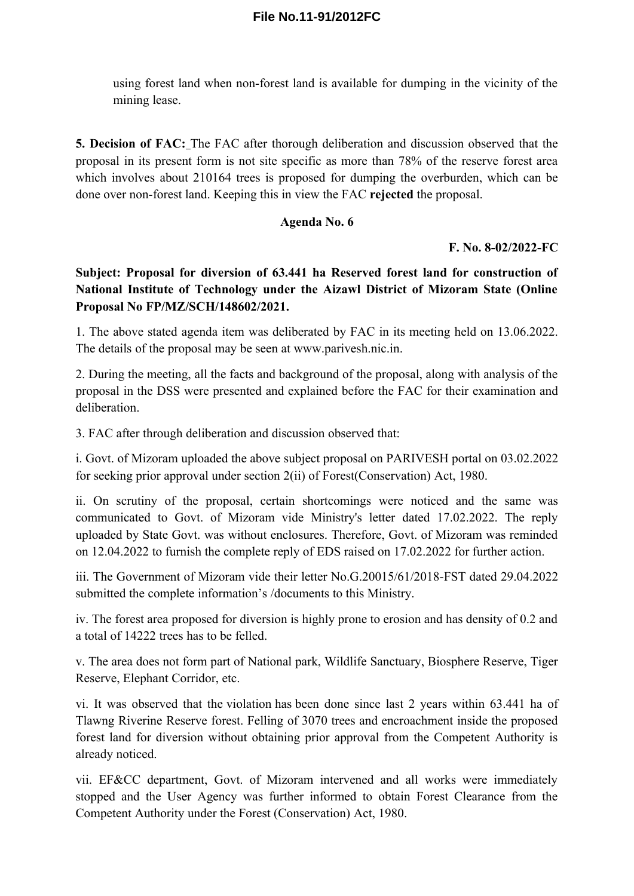using forest land when non-forest land is available for dumping in the vicinity of the mining lease.

**5. Decision of FAC:** The FAC after thorough deliberation and discussion observed that the proposal in its present form is not site specific as more than 78% of the reserve forest area which involves about 210164 trees is proposed for dumping the overburden, which can be done over non-forest land. Keeping this in view the FAC **rejected** the proposal.

### **Agenda No. 6**

#### **F. No. 8-02/2022-FC**

**Subject: Proposal for diversion of 63.441 ha Reserved forest land for construction of National Institute of Technology under the Aizawl District of Mizoram State (Online Proposal No FP/MZ/SCH/148602/2021.**

1. The above stated agenda item was deliberated by FAC in its meeting held on 13.06.2022. The details of the proposal may be seen at www.parivesh.nic.in.

2. During the meeting, all the facts and background of the proposal, along with analysis of the proposal in the DSS were presented and explained before the FAC for their examination and deliberation.

3. FAC after through deliberation and discussion observed that:

i. Govt. of Mizoram uploaded the above subject proposal on PARIVESH portal on 03.02.2022 for seeking prior approval under section 2(ii) of Forest(Conservation) Act, 1980.

ii. On scrutiny of the proposal, certain shortcomings were noticed and the same was communicated to Govt. of Mizoram vide Ministry's letter dated 17.02.2022. The reply uploaded by State Govt. was without enclosures. Therefore, Govt. of Mizoram was reminded on 12.04.2022 to furnish the complete reply of EDS raised on 17.02.2022 for further action.

iii. The Government of Mizoram vide their letter No.G.20015/61/2018-FST dated 29.04.2022 submitted the complete information's /documents to this Ministry.

iv. The forest area proposed for diversion is highly prone to erosion and has density of 0.2 and a total of 14222 trees has to be felled.

v. The area does not form part of National park, Wildlife Sanctuary, Biosphere Reserve, Tiger Reserve, Elephant Corridor, etc.

vi. It was observed that the violation has been done since last 2 years within 63.441 ha of Tlawng Riverine Reserve forest. Felling of 3070 trees and encroachment inside the proposed forest land for diversion without obtaining prior approval from the Competent Authority is already noticed.

vii. EF&CC department, Govt. of Mizoram intervened and all works were immediately stopped and the User Agency was further informed to obtain Forest Clearance from the Competent Authority under the Forest (Conservation) Act, 1980.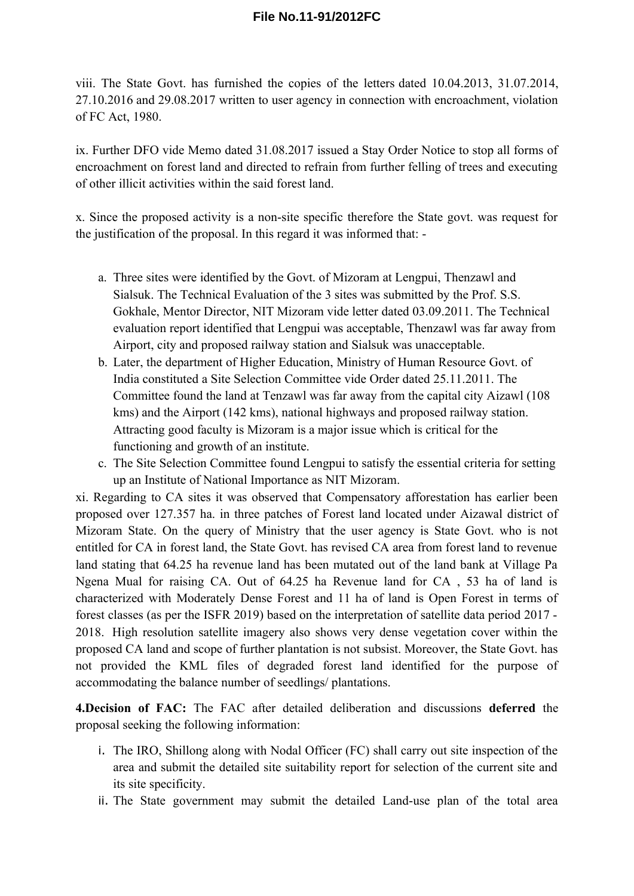viii. The State Govt. has furnished the copies of the letters dated 10.04.2013, 31.07.2014, 27.10.2016 and 29.08.2017 written to user agency in connection with encroachment, violation of FC Act, 1980.

ix. Further DFO vide Memo dated 31.08.2017 issued a Stay Order Notice to stop all forms of encroachment on forest land and directed to refrain from further felling of trees and executing of other illicit activities within the said forest land.

x. Since the proposed activity is a non-site specific therefore the State govt. was request for the justification of the proposal. In this regard it was informed that: -

- a. Three sites were identified by the Govt. of Mizoram at Lengpui, Thenzawl and Sialsuk. The Technical Evaluation of the 3 sites was submitted by the Prof. S.S. Gokhale, Mentor Director, NIT Mizoram vide letter dated 03.09.2011. The Technical evaluation report identified that Lengpui was acceptable, Thenzawl was far away from Airport, city and proposed railway station and Sialsuk was unacceptable.
- b. Later, the department of Higher Education, Ministry of Human Resource Govt. of India constituted a Site Selection Committee vide Order dated 25.11.2011. The Committee found the land at Tenzawl was far away from the capital city Aizawl (108 kms) and the Airport (142 kms), national highways and proposed railway station. Attracting good faculty is Mizoram is a major issue which is critical for the functioning and growth of an institute.
- c. The Site Selection Committee found Lengpui to satisfy the essential criteria for setting up an Institute of National Importance as NIT Mizoram.

xi. Regarding to CA sites it was observed that Compensatory afforestation has earlier been proposed over 127.357 ha. in three patches of Forest land located under Aizawal district of Mizoram State. On the query of Ministry that the user agency is State Govt. who is not entitled for CA in forest land, the State Govt. has revised CA area from forest land to revenue land stating that 64.25 ha revenue land has been mutated out of the land bank at Village Pa Ngena Mual for raising CA. Out of 64.25 ha Revenue land for CA , 53 ha of land is characterized with Moderately Dense Forest and 11 ha of land is Open Forest in terms of forest classes (as per the ISFR 2019) based on the interpretation of satellite data period 2017 - 2018. High resolution satellite imagery also shows very dense vegetation cover within the proposed CA land and scope of further plantation is not subsist. Moreover, the State Govt. has not provided the KML files of degraded forest land identified for the purpose of accommodating the balance number of seedlings/ plantations.

**4.Decision of FAC:** The FAC after detailed deliberation and discussions **deferred** the proposal seeking the following information:

- i. The IRO, Shillong along with Nodal Officer (FC) shall carry out site inspection of the area and submit the detailed site suitability report for selection of the current site and its site specificity.
- ii. The State government may submit the detailed Land-use plan of the total area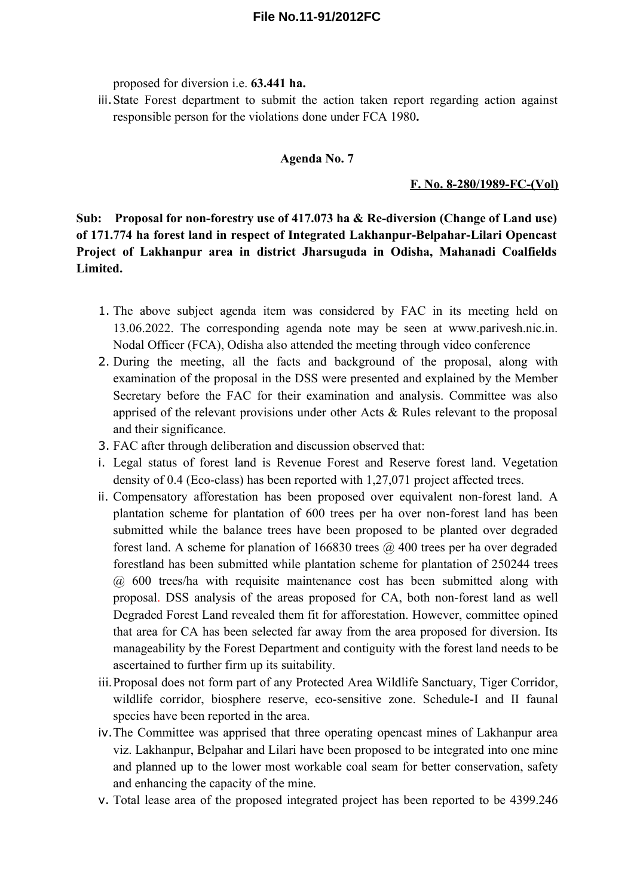proposed for diversion i.e. **63.441 ha.** 

iii.State Forest department to submit the action taken report regarding action against responsible person for the violations done under FCA 1980**.**

#### **Agenda No. 7**

#### **F. No. 8-280/1989-FC-(Vol)**

**Sub: Proposal for non-forestry use of 417.073 ha & Re-diversion (Change of Land use) of 171.774 ha forest land in respect of Integrated Lakhanpur-Belpahar-Lilari Opencast Project of Lakhanpur area in district Jharsuguda in Odisha, Mahanadi Coalfields Limited.** 

- 1. The above subject agenda item was considered by FAC in its meeting held on 13.06.2022. The corresponding agenda note may be seen at www.parivesh.nic.in. Nodal Officer (FCA), Odisha also attended the meeting through video conference
- 2. During the meeting, all the facts and background of the proposal, along with examination of the proposal in the DSS were presented and explained by the Member Secretary before the FAC for their examination and analysis. Committee was also apprised of the relevant provisions under other Acts & Rules relevant to the proposal and their significance.
- 3. FAC after through deliberation and discussion observed that:
- i. Legal status of forest land is Revenue Forest and Reserve forest land. Vegetation density of 0.4 (Eco-class) has been reported with 1,27,071 project affected trees.
- ii. Compensatory afforestation has been proposed over equivalent non-forest land. A plantation scheme for plantation of 600 trees per ha over non-forest land has been submitted while the balance trees have been proposed to be planted over degraded forest land. A scheme for planation of 166830 trees  $\omega$  400 trees per ha over degraded forestland has been submitted while plantation scheme for plantation of 250244 trees @ 600 trees/ha with requisite maintenance cost has been submitted along with proposal. DSS analysis of the areas proposed for CA, both non-forest land as well Degraded Forest Land revealed them fit for afforestation. However, committee opined that area for CA has been selected far away from the area proposed for diversion. Its manageability by the Forest Department and contiguity with the forest land needs to be ascertained to further firm up its suitability.
- iii.Proposal does not form part of any Protected Area Wildlife Sanctuary, Tiger Corridor, wildlife corridor, biosphere reserve, eco-sensitive zone. Schedule-I and II faunal species have been reported in the area.
- iv.The Committee was apprised that three operating opencast mines of Lakhanpur area viz. Lakhanpur, Belpahar and Lilari have been proposed to be integrated into one mine and planned up to the lower most workable coal seam for better conservation, safety and enhancing the capacity of the mine.
- v. Total lease area of the proposed integrated project has been reported to be 4399.246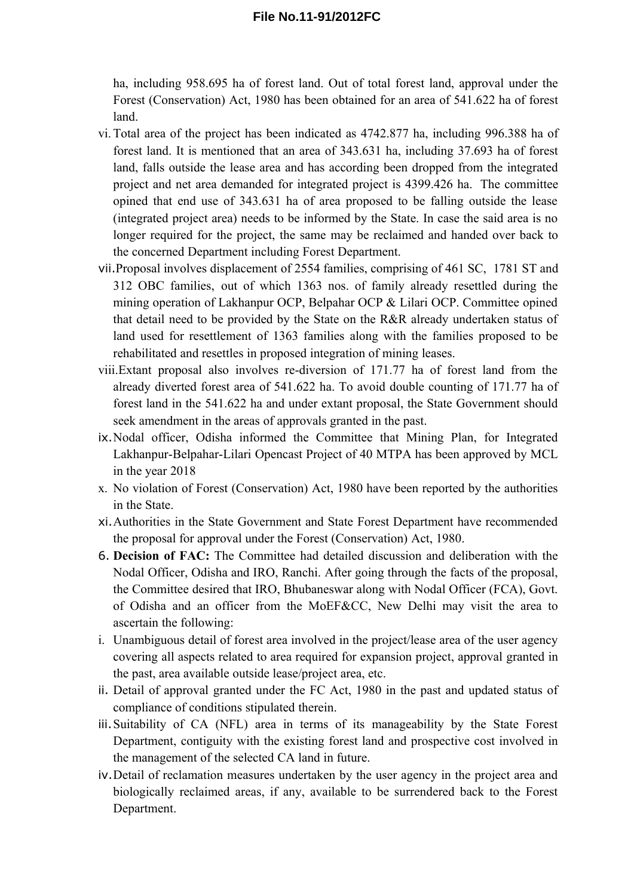ha, including 958.695 ha of forest land. Out of total forest land, approval under the Forest (Conservation) Act, 1980 has been obtained for an area of 541.622 ha of forest land.

- vi.Total area of the project has been indicated as 4742.877 ha, including 996.388 ha of forest land. It is mentioned that an area of 343.631 ha, including 37.693 ha of forest land, falls outside the lease area and has according been dropped from the integrated project and net area demanded for integrated project is 4399.426 ha. The committee opined that end use of 343.631 ha of area proposed to be falling outside the lease (integrated project area) needs to be informed by the State. In case the said area is no longer required for the project, the same may be reclaimed and handed over back to the concerned Department including Forest Department.
- vii.Proposal involves displacement of 2554 families, comprising of 461 SC, 1781 ST and 312 OBC families, out of which 1363 nos. of family already resettled during the mining operation of Lakhanpur OCP, Belpahar OCP & Lilari OCP. Committee opined that detail need to be provided by the State on the R&R already undertaken status of land used for resettlement of 1363 families along with the families proposed to be rehabilitated and resettles in proposed integration of mining leases.
- viii.Extant proposal also involves re-diversion of 171.77 ha of forest land from the already diverted forest area of 541.622 ha. To avoid double counting of 171.77 ha of forest land in the 541.622 ha and under extant proposal, the State Government should seek amendment in the areas of approvals granted in the past.
- ix.Nodal officer, Odisha informed the Committee that Mining Plan, for Integrated Lakhanpur-Belpahar-Lilari Opencast Project of 40 MTPA has been approved by MCL in the year 2018
- x. No violation of Forest (Conservation) Act, 1980 have been reported by the authorities in the State.
- xi.Authorities in the State Government and State Forest Department have recommended the proposal for approval under the Forest (Conservation) Act, 1980.
- 6. **Decision of FAC:** The Committee had detailed discussion and deliberation with the Nodal Officer, Odisha and IRO, Ranchi. After going through the facts of the proposal, the Committee desired that IRO, Bhubaneswar along with Nodal Officer (FCA), Govt. of Odisha and an officer from the MoEF&CC, New Delhi may visit the area to ascertain the following:
- i. Unambiguous detail of forest area involved in the project/lease area of the user agency covering all aspects related to area required for expansion project, approval granted in the past, area available outside lease/project area, etc.
- ii. Detail of approval granted under the FC Act, 1980 in the past and updated status of compliance of conditions stipulated therein.
- iii.Suitability of CA (NFL) area in terms of its manageability by the State Forest Department, contiguity with the existing forest land and prospective cost involved in the management of the selected CA land in future.
- iv.Detail of reclamation measures undertaken by the user agency in the project area and biologically reclaimed areas, if any, available to be surrendered back to the Forest Department.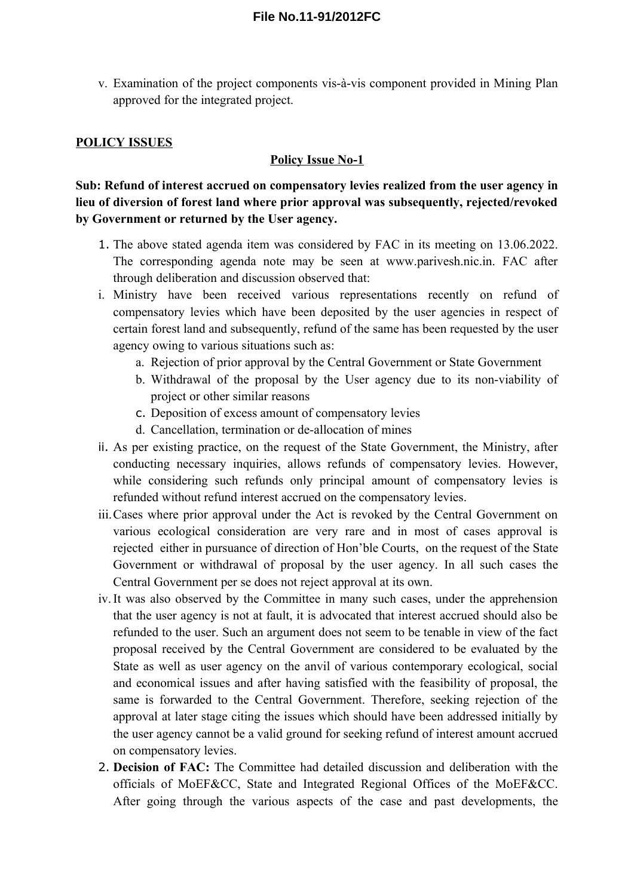v. Examination of the project components vis-à-vis component provided in Mining Plan approved for the integrated project.

## **POLICY ISSUES**

### **Policy Issue No-1**

**Sub: Refund of interest accrued on compensatory levies realized from the user agency in lieu of diversion of forest land where prior approval was subsequently, rejected/revoked by Government or returned by the User agency.** 

- 1. The above stated agenda item was considered by FAC in its meeting on 13.06.2022. The corresponding agenda note may be seen at www.parivesh.nic.in. FAC after through deliberation and discussion observed that:
- i. Ministry have been received various representations recently on refund of compensatory levies which have been deposited by the user agencies in respect of certain forest land and subsequently, refund of the same has been requested by the user agency owing to various situations such as:
	- a. Rejection of prior approval by the Central Government or State Government
	- b. Withdrawal of the proposal by the User agency due to its non-viability of project or other similar reasons
	- c. Deposition of excess amount of compensatory levies
	- d. Cancellation, termination or de-allocation of mines
- ii. As per existing practice, on the request of the State Government, the Ministry, after conducting necessary inquiries, allows refunds of compensatory levies. However, while considering such refunds only principal amount of compensatory levies is refunded without refund interest accrued on the compensatory levies.
- iii.Cases where prior approval under the Act is revoked by the Central Government on various ecological consideration are very rare and in most of cases approval is rejected either in pursuance of direction of Hon'ble Courts, on the request of the State Government or withdrawal of proposal by the user agency. In all such cases the Central Government per se does not reject approval at its own.
- iv.It was also observed by the Committee in many such cases, under the apprehension that the user agency is not at fault, it is advocated that interest accrued should also be refunded to the user. Such an argument does not seem to be tenable in view of the fact proposal received by the Central Government are considered to be evaluated by the State as well as user agency on the anvil of various contemporary ecological, social and economical issues and after having satisfied with the feasibility of proposal, the same is forwarded to the Central Government. Therefore, seeking rejection of the approval at later stage citing the issues which should have been addressed initially by the user agency cannot be a valid ground for seeking refund of interest amount accrued on compensatory levies.
- 2. **Decision of FAC:** The Committee had detailed discussion and deliberation with the officials of MoEF&CC, State and Integrated Regional Offices of the MoEF&CC. After going through the various aspects of the case and past developments, the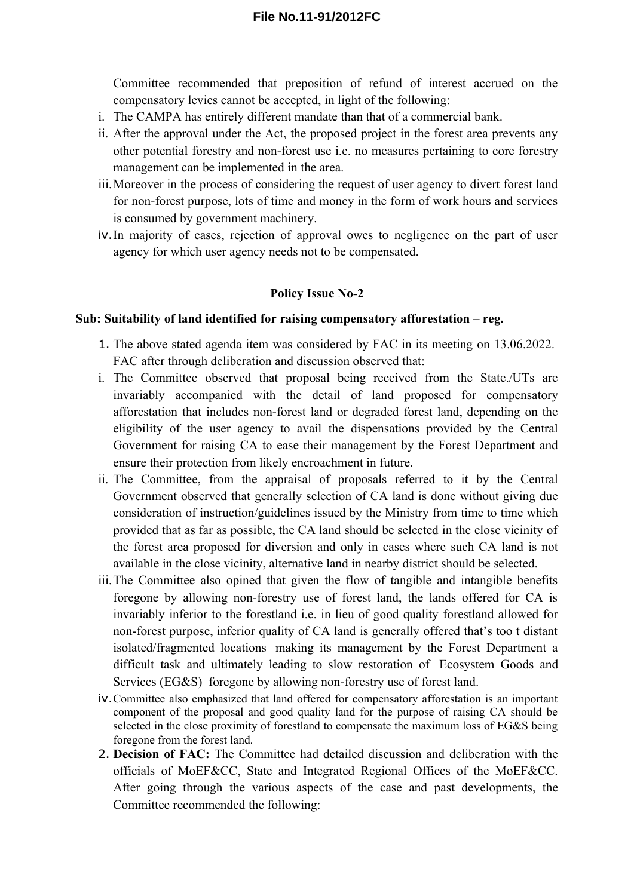Committee recommended that preposition of refund of interest accrued on the compensatory levies cannot be accepted, in light of the following:

- i. The CAMPA has entirely different mandate than that of a commercial bank.
- ii. After the approval under the Act, the proposed project in the forest area prevents any other potential forestry and non-forest use i.e. no measures pertaining to core forestry management can be implemented in the area.
- iii.Moreover in the process of considering the request of user agency to divert forest land for non-forest purpose, lots of time and money in the form of work hours and services is consumed by government machinery.
- iv.In majority of cases, rejection of approval owes to negligence on the part of user agency for which user agency needs not to be compensated.

### **Policy Issue No-2**

#### **Sub: Suitability of land identified for raising compensatory afforestation – reg.**

- 1. The above stated agenda item was considered by FAC in its meeting on 13.06.2022. FAC after through deliberation and discussion observed that:
- i. The Committee observed that proposal being received from the State./UTs are invariably accompanied with the detail of land proposed for compensatory afforestation that includes non-forest land or degraded forest land, depending on the eligibility of the user agency to avail the dispensations provided by the Central Government for raising CA to ease their management by the Forest Department and ensure their protection from likely encroachment in future.
- ii. The Committee, from the appraisal of proposals referred to it by the Central Government observed that generally selection of CA land is done without giving due consideration of instruction/guidelines issued by the Ministry from time to time which provided that as far as possible, the CA land should be selected in the close vicinity of the forest area proposed for diversion and only in cases where such CA land is not available in the close vicinity, alternative land in nearby district should be selected.
- iii.The Committee also opined that given the flow of tangible and intangible benefits foregone by allowing non-forestry use of forest land, the lands offered for CA is invariably inferior to the forestland i.e. in lieu of good quality forestland allowed for non-forest purpose, inferior quality of CA land is generally offered that's too t distant isolated/fragmented locations making its management by the Forest Department a difficult task and ultimately leading to slow restoration of Ecosystem Goods and Services (EG&S) foregone by allowing non-forestry use of forest land.
- iv.Committee also emphasized that land offered for compensatory afforestation is an important component of the proposal and good quality land for the purpose of raising CA should be selected in the close proximity of forestland to compensate the maximum loss of EG&S being foregone from the forest land.
- 2. **Decision of FAC:** The Committee had detailed discussion and deliberation with the officials of MoEF&CC, State and Integrated Regional Offices of the MoEF&CC. After going through the various aspects of the case and past developments, the Committee recommended the following: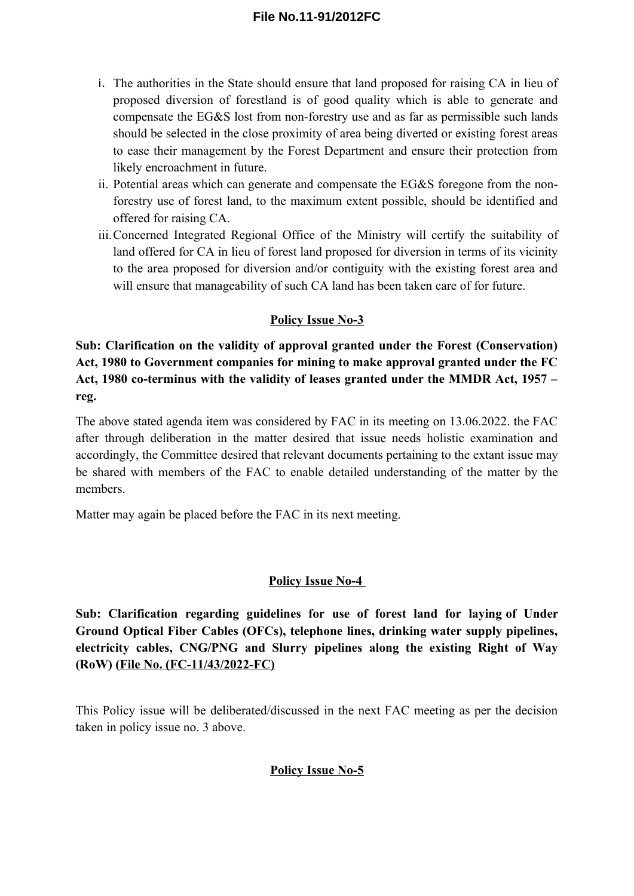- i. The authorities in the State should ensure that land proposed for raising CA in lieu of proposed diversion of forestland is of good quality which is able to generate and compensate the EG&S lost from non-forestry use and as far as permissible such lands should be selected in the close proximity of area being diverted or existing forest areas to ease their management by the Forest Department and ensure their protection from likely encroachment in future.
- ii. Potential areas which can generate and compensate the EG&S foregone from the nonforestry use of forest land, to the maximum extent possible, should be identified and offered for raising CA.
- iii.Concerned Integrated Regional Office of the Ministry will certify the suitability of land offered for CA in lieu of forest land proposed for diversion in terms of its vicinity to the area proposed for diversion and/or contiguity with the existing forest area and will ensure that manageability of such CA land has been taken care of for future.

## **Policy Issue No-3**

**Sub: Clarification on the validity of approval granted under the Forest (Conservation) Act, 1980 to Government companies for mining to make approval granted under the FC Act, 1980 co-terminus with the validity of leases granted under the MMDR Act, 1957 – reg.** 

The above stated agenda item was considered by FAC in its meeting on 13.06.2022. the FAC after through deliberation in the matter desired that issue needs holistic examination and accordingly, the Committee desired that relevant documents pertaining to the extant issue may be shared with members of the FAC to enable detailed understanding of the matter by the members.

Matter may again be placed before the FAC in its next meeting.

### **Policy Issue No-4**

**Sub: Clarification regarding guidelines for use of forest land for laying of Under Ground Optical Fiber Cables (OFCs), telephone lines, drinking water supply pipelines, electricity cables, CNG/PNG and Slurry pipelines along the existing Right of Way (RoW) (File No. (FC-11/43/2022-FC)**

This Policy issue will be deliberated/discussed in the next FAC meeting as per the decision taken in policy issue no. 3 above.

## **Policy Issue No-5**